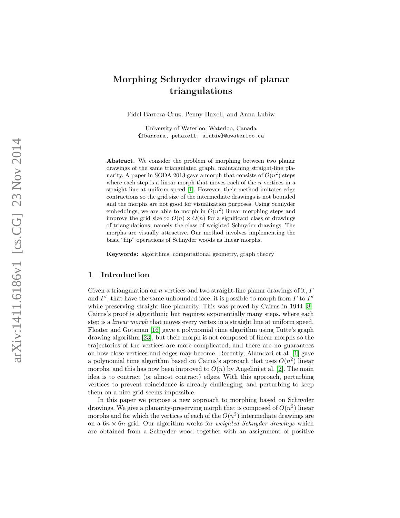# Morphing Schnyder drawings of planar triangulations

Fidel Barrera-Cruz, Penny Haxell, and Anna Lubiw

University of Waterloo, Waterloo, Canada {fbarrera, pehaxell, alubiw}@uwaterloo.ca

Abstract. We consider the problem of morphing between two planar drawings of the same triangulated graph, maintaining straight-line planarity. A paper in SODA 2013 gave a morph that consists of  $O(n^2)$  steps where each step is a linear morph that moves each of the  $n$  vertices in a straight line at uniform speed [\[1\]](#page-21-0). However, their method imitates edge contractions so the grid size of the intermediate drawings is not bounded and the morphs are not good for visualization purposes. Using Schnyder embeddings, we are able to morph in  $O(n^2)$  linear morphing steps and improve the grid size to  $O(n) \times O(n)$  for a significant class of drawings of triangulations, namely the class of weighted Schnyder drawings. The morphs are visually attractive. Our method involves implementing the basic "flip" operations of Schnyder woods as linear morphs.

Keywords: algorithms, computational geometry, graph theory

#### 1 Introduction

Given a triangulation on *n* vertices and two straight-line planar drawings of it, I and  $\Gamma'$ , that have the same unbounded face, it is possible to morph from  $\Gamma$  to  $\Gamma'$ while preserving straight-line planarity. This was proved by Cairns in 1944 [\[8\]](#page-21-1). Cairns's proof is algorithmic but requires exponentially many steps, where each step is a *linear morph* that moves every vertex in a straight line at uniform speed. Floater and Gotsman [\[16\]](#page-21-2) gave a polynomial time algorithm using Tutte's graph drawing algorithm [\[23\]](#page-22-0), but their morph is not composed of linear morphs so the trajectories of the vertices are more complicated, and there are no guarantees on how close vertices and edges may become. Recently, Alamdari et al. [\[1\]](#page-21-0) gave a polynomial time algorithm based on Cairns's approach that uses  $O(n^2)$  linear morphs, and this has now been improved to  $O(n)$  by Angelini et al. [\[2\]](#page-21-3). The main idea is to contract (or almost contract) edges. With this approach, perturbing vertices to prevent coincidence is already challenging, and perturbing to keep them on a nice grid seems impossible.

In this paper we propose a new approach to morphing based on Schnyder drawings. We give a planarity-preserving morph that is composed of  $O(n^2)$  linear morphs and for which the vertices of each of the  $O(n^2)$  intermediate drawings are on a  $6n \times 6n$  grid. Our algorithm works for *weighted Schnyder drawings* which are obtained from a Schnyder wood together with an assignment of positive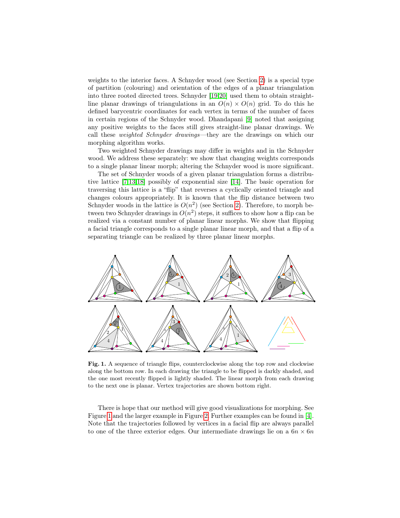weights to the interior faces. A Schnyder wood (see Section [2\)](#page-2-0) is a special type of partition (colouring) and orientation of the edges of a planar triangulation into three rooted directed trees. Schnyder [\[19,](#page-22-1)[20\]](#page-22-2) used them to obtain straightline planar drawings of triangulations in an  $O(n) \times O(n)$  grid. To do this he defined barycentric coordinates for each vertex in terms of the number of faces in certain regions of the Schnyder wood. Dhandapani [\[9\]](#page-21-4) noted that assigning any positive weights to the faces still gives straight-line planar drawings. We call these weighted Schnyder drawings—they are the drawings on which our morphing algorithm works.

Two weighted Schnyder drawings may differ in weights and in the Schnyder wood. We address these separately: we show that changing weights corresponds to a single planar linear morph; altering the Schnyder wood is more significant.

The set of Schnyder woods of a given planar triangulation forms a distributive lattice [\[7](#page-21-5)[,13,](#page-21-6)[18\]](#page-21-7) possibly of exponential size [\[14\]](#page-21-8). The basic operation for traversing this lattice is a "flip" that reverses a cyclically oriented triangle and changes colours appropriately. It is known that the flip distance between two Schnyder woods in the lattice is  $O(n^2)$  (see Section [2\)](#page-2-0). Therefore, to morph between two Schnyder drawings in  $O(n^2)$  steps, it suffices to show how a flip can be realized via a constant number of planar linear morphs. We show that flipping a facial triangle corresponds to a single planar linear morph, and that a flip of a separating triangle can be realized by three planar linear morphs.



Fig. 1. A sequence of triangle flips, counterclockwise along the top row and clockwise along the bottom row. In each drawing the triangle to be flipped is darkly shaded, and the one most recently flipped is lightly shaded. The linear morph from each drawing to the next one is planar. Vertex trajectories are shown bottom right.

<span id="page-1-0"></span>There is hope that our method will give good visualizations for morphing. See Figure [1](#page-1-0) and the larger example in Figure [2.](#page-3-0) Further examples can be found in [\[4\]](#page-21-9). Note that the trajectories followed by vertices in a facial flip are always parallel to one of the three exterior edges. Our intermediate drawings lie on a  $6n \times 6n$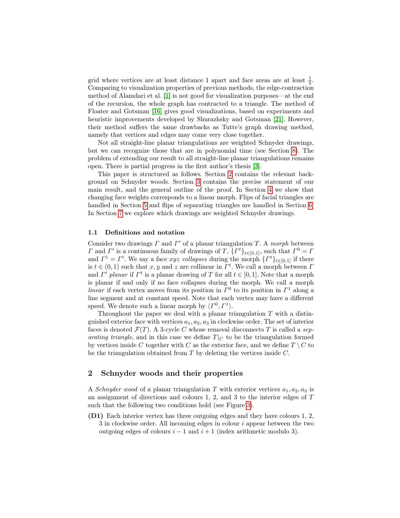grid where vertices are at least distance 1 apart and face areas are at least  $\frac{1}{2}$ . Comparing to visualization properties of previous methods, the edge-contraction method of Alamdari et al. [\[1\]](#page-21-0) is not good for visualization purposes—at the end of the recursion, the whole graph has contracted to a triangle. The method of Floater and Gotsman [\[16\]](#page-21-2) gives good visualizations, based on experiments and heuristic improvements developed by Shurazhsky and Gotsman [\[21\]](#page-22-3). However, their method suffers the same drawbacks as Tutte's graph drawing method, namely that vertices and edges may come very close together.

Not all straight-line planar triangulations are weighted Schnyder drawings, but we can recognize those that are in polynomial time (see Section [8\)](#page-20-0). The problem of extending our result to all straight-line planar triangulations remains open. There is partial progress in the first author's thesis [\[3\]](#page-21-10).

This paper is structured as follows. Section [2](#page-2-0) contains the relevant background on Schnyder woods. Section [3](#page-8-0) contains the precise statement of our main result, and the general outline of the proof. In Section [4](#page-9-0) we show that changing face weights corresponds to a linear morph. Flips of facial triangles are handled in Section [5](#page-9-1) and flips of separating triangles are handled in Section [6.](#page-12-0) In Section [7](#page-19-0) we explore which drawings are weighted Schnyder drawings.

#### 1.1 Definitions and notation

Consider two drawings  $\Gamma$  and  $\Gamma'$  of a planar triangulation  $T$ . A morph between  $\Gamma$  and  $\Gamma'$  is a continuous family of drawings of  $T$ ,  $\{\Gamma^t\}_{t\in[0,1]},$  such that  $\Gamma^0 = \Gamma$ and  $\Gamma^1 = \Gamma'$ . We say a face xyz collapses during the morph  $\{\Gamma^t\}_{t \in [0,1]}$  if there is  $t \in (0,1)$  such that x, y and z are collinear in  $\Gamma^t$ . We call a morph between I and  $\Gamma'$  planar if  $\Gamma^t$  is a planar drawing of T for all  $t \in [0, 1]$ . Note that a morph is planar if and only if no face collapses during the morph. We call a morph *linear* if each vertex moves from its position in  $\Gamma^0$  to its position in  $\Gamma^1$  along a line segment and at constant speed. Note that each vertex may have a different speed. We denote such a linear morph by  $\langle \Gamma^0, \Gamma^1 \rangle$ .

Throughout the paper we deal with a planar triangulation T with a distinguished exterior face with vertices  $a_1, a_2, a_3$  in clockwise order. The set of interior faces is denoted  $\mathcal{F}(T)$ . A 3-cycle C whose removal disconnects T is called a separating triangle, and in this case we define  $T|_C$  to be the triangulation formed by vertices inside C together with C as the exterior face, and we define  $T \setminus C$  to be the triangulation obtained from  $T$  by deleting the vertices inside  $C$ .

### <span id="page-2-0"></span>2 Schnyder woods and their properties

A Schnyder wood of a planar triangulation T with exterior vertices  $a_1, a_2, a_3$  is an assignment of directions and colours 1, 2, and 3 to the interior edges of T such that the following two conditions hold (see Figure [3\)](#page-4-0).

(D1) Each interior vertex has three outgoing edges and they have colours 1, 2,  $3$  in clockwise order. All incoming edges in colour  $i$  appear between the two outgoing edges of colours  $i - 1$  and  $i + 1$  (index arithmetic modulo 3).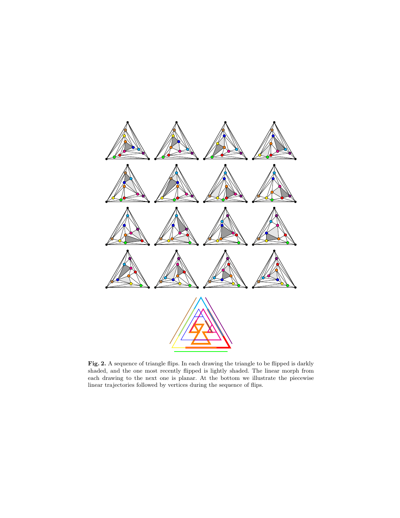

<span id="page-3-0"></span>Fig. 2. A sequence of triangle flips. In each drawing the triangle to be flipped is darkly shaded, and the one most recently flipped is lightly shaded. The linear morph from each drawing to the next one is planar. At the bottom we illustrate the piecewise linear trajectories followed by vertices during the sequence of flips.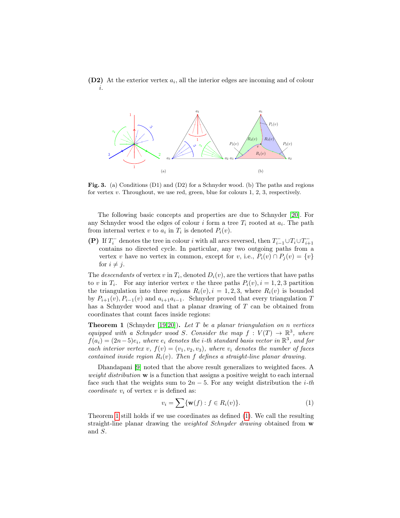$(D2)$  At the exterior vertex  $a_i$ , all the interior edges are incoming and of colour i.



<span id="page-4-0"></span>Fig. 3. (a) Conditions  $(D1)$  and  $(D2)$  for a Schnyder wood. (b) The paths and regions for vertex v. Throughout, we use red, green, blue for colours 1, 2, 3, respectively.

The following basic concepts and properties are due to Schnyder [\[20\]](#page-22-2). For any Schnyder wood the edges of colour  $i$  form a tree  $T_i$  rooted at  $a_i$ . The path from internal vertex v to  $a_i$  in  $T_i$  is denoted  $P_i(v)$ .

<span id="page-4-3"></span>(P) If  $T_i^-$  denotes the tree in colour *i* with all arcs reversed, then  $T_{i-1}^- \cup T_i \cup T_{i+1}^$ contains no directed cycle. In particular, any two outgoing paths from a vertex v have no vertex in common, except for v, i.e.,  $P_i(v) \cap P_j(v) = \{v\}$ for  $i \neq j$ .

The *descendants* of vertex  $v$  in  $T_i$ , denoted  $D_i(v)$ , are the vertices that have paths to v in  $T_i$ . For any interior vertex v the three paths  $P_i(v)$ ,  $i = 1, 2, 3$  partition the triangulation into three regions  $R_i(v)$ ,  $i = 1, 2, 3$ , where  $R_i(v)$  is bounded by  $P_{i+1}(v)$ ,  $P_{i-1}(v)$  and  $a_{i+1}a_{i-1}$ . Schnyder proved that every triangulation T has a Schnyder wood and that a planar drawing of T can be obtained from coordinates that count faces inside regions:

<span id="page-4-1"></span>**Theorem 1** (Schnyder [\[19,](#page-22-1)[20\]](#page-22-2)). Let T be a planar triangulation on n vertices equipped with a Schnyder wood S. Consider the map  $f: V(T) \to \mathbb{R}^3$ , where  $f(a_i) = (2n-5)e_i$ , where  $e_i$  denotes the *i*-th standard basis vector in  $\mathbb{R}^3$ , and for each interior vertex v,  $f(v) = (v_1, v_2, v_3)$ , where  $v_i$  denotes the number of faces contained inside region  $R_i(v)$ . Then f defines a straight-line planar drawing.

Dhandapani [\[9\]](#page-21-4) noted that the above result generalizes to weighted faces. A weight distribution  $\bf{w}$  is a function that assigns a positive weight to each internal face such that the weights sum to  $2n-5$ . For any weight distribution the *i*-th *coordinate*  $v_i$  of vertex  $v$  is defined as:

<span id="page-4-2"></span>
$$
v_i = \sum \{ \mathbf{w}(f) : f \in R_i(v) \}. \tag{1}
$$

Theorem [1](#page-4-1) still holds if we use coordinates as defined [\(1\)](#page-4-2). We call the resulting straight-line planar drawing the *weighted Schnyder drawing* obtained from w and S.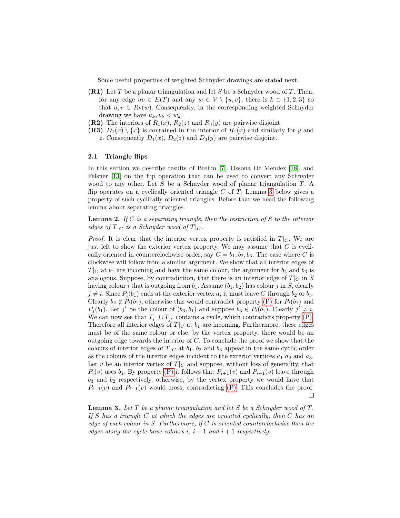Some useful properties of weighted Schnyder drawings are stated next.

- <span id="page-5-3"></span> $(R1)$  Let T be a planar triangulation and let S be a Schnyder wood of T. Then, for any edge  $uv \in E(T)$  and any  $w \in V \setminus \{u, v\}$ , there is  $k \in \{1, 2, 3\}$  so that  $u, v \in R_k(w)$ . Consequently, in the corresponding weighted Schnyder drawing we have  $u_k, v_k < w_k$ .
- (R2) The interiors of  $R_1(x)$ ,  $R_2(z)$  and  $R_3(y)$  are pairwise disjoint.
- <span id="page-5-2"></span>(R3)  $D_1(x) \setminus \{x\}$  is contained in the interior of  $R_1(x)$  and similarly for y and z. Consequently  $D_1(x)$ ,  $D_2(z)$  and  $D_3(y)$  are pairwise disjoint.

#### 2.1 Triangle flips

In this section we describe results of Brehm [\[7\]](#page-21-5), Ossona De Mendez [\[18\]](#page-21-7), and Felsner [\[13\]](#page-21-6) on the flip operation that can be used to convert any Schnyder wood to any other. Let S be a Schnyder wood of planar triangulation T. A flip operates on a cyclically oriented triangle  $C$  of  $T$ . Lemma [3](#page-5-0) below gives a property of such cyclically oriented triangles. Before that we need the following lemma about separating triangles.

<span id="page-5-1"></span>**Lemma 2.** If  $C$  is a separating triangle, then the restriction of  $S$  to the interior edges of  $T|_C$  is a Schnyder wood of  $T|_C$ .

*Proof.* It is clear that the interior vertex property is satisfied in  $T|_C$ . We are just left to show the exterior vertex property. We may assume that  $C$  is cyclically oriented in counterclockwise order, say  $C = b_1, b_2, b_3$ . The case where C is clockwise will follow from a similar argument. We show that all interior edges of  $T|_C$  at  $b_1$  are incoming and have the same colour, the argument for  $b_2$  and  $b_3$  is analogous. Suppose, by contradiction, that there is an interior edge of  $T|_C$  in S having colour i that is outgoing from  $b_1$ . Assume  $(b_1, b_2)$  has colour j in S, clearly  $j \neq i$ . Since  $P_i(b_1)$  ends at the exterior vertex  $a_i$  it must leave C through  $b_2$  or  $b_3$ . Clearly  $b_2 \notin P_i(b_1)$ , otherwise this would contradict property [\(P\)](#page-4-3) for  $P_i(b_1)$  and  $P_j(b_1)$ . Let j' be the colour of  $(b_3, b_1)$  and suppose  $b_3 \in P_i(b_1)$ . Clearly  $j' \neq i$ . We can now see that  $T_i^- \cup T_{j'}^-$  contains a cycle, which contradicts property [\(P\).](#page-4-3) Therefore all interior edges of  $T|_C$  at  $b_1$  are incoming. Furthermore, these edges must be of the same colour or else, by the vertex property, there would be an outgoing edge towards the interior of C. To conclude the proof we show that the colours of interior edges of  $T|_C$  at  $b_1$ ,  $b_2$  and  $b_3$  appear in the same cyclic order as the colours of the interior edges incident to the exterior vertices  $a_1$   $a_2$  and  $a_3$ . Let v be an interior vertex of  $T|_C$  and suppose, without loss of generality, that  $P_i(v)$  uses  $b_1$ . By property [\(P\)](#page-4-3) it follows that  $P_{i+1}(v)$  and  $P_{i-1}(v)$  leave through  $b_3$  and  $b_2$  respectively, otherwise, by the vertex property we would have that  $P_{i+1}(v)$  and  $P_{i-1}(v)$  would cross, contradicting [\(P\).](#page-4-3) This concludes the proof.  $\Box$ 

<span id="page-5-0"></span>**Lemma 3.** Let  $T$  be a planar triangulation and let  $S$  be a Schnyder wood of  $T$ . If S has a triangle C at which the edges are oriented cyclically, then C has an edge of each colour in S. Furthermore, if  $C$  is oriented counterclockwise then the edges along the cycle have colours i,  $i - 1$  and  $i + 1$  respectively.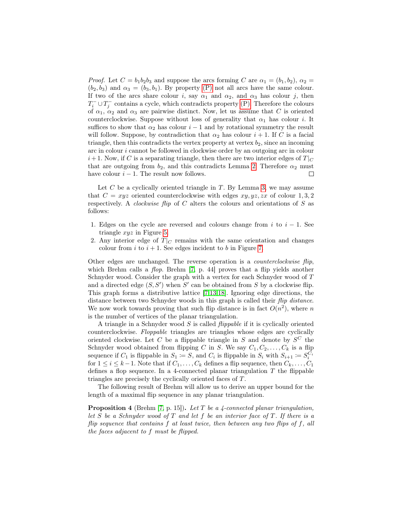*Proof.* Let  $C = b_1b_2b_3$  and suppose the arcs forming C are  $\alpha_1 = (b_1, b_2), \alpha_2 =$  $(b_2, b_3)$  and  $\alpha_3 = (b_3, b_1)$ . By property [\(P\)](#page-4-3) not all arcs have the same colour. If two of the arcs share colour i, say  $\alpha_1$  and  $\alpha_2$ , and  $\alpha_3$  has colour j, then  $T_i^-\cup T_j^-$  contains a cycle, which contradicts property [\(P\).](#page-4-3) Therefore the colours of  $\alpha_1$ ,  $\alpha_2$  and  $\alpha_3$  are pairwise distinct. Now, let us assume that C is oriented counterclockwise. Suppose without loss of generality that  $\alpha_1$  has colour *i*. It suffices to show that  $\alpha_2$  has colour  $i-1$  and by rotational symmetry the result will follow. Suppose, by contradiction that  $\alpha_2$  has colour  $i + 1$ . If C is a facial triangle, then this contradicts the vertex property at vertex  $b_2$ , since an incoming arc in colour i cannot be followed in clockwise order by an outgoing arc in colour  $i+1$ . Now, if C is a separating triangle, then there are two interior edges of  $T|_C$ that are outgoing from  $b_2$ , and this contradicts Lemma [2.](#page-5-1) Therefore  $\alpha_2$  must have colour  $i - 1$ . The result now follows.

Let  $C$  be a cyclically oriented triangle in  $T$ . By Lemma [3,](#page-5-0) we may assume that  $C = xyz$  oriented counterclockwise with edges  $xy, yz, zx$  of colour 1,3,2 respectively. A *clockwise flip* of C alters the colours and orientations of S as follows:

- 1. Edges on the cycle are reversed and colours change from i to  $i 1$ . See triangle xyz in Figure [5.](#page-11-0)
- 2. Any interior edge of  $T|_C$  remains with the same orientation and changes colour from i to  $i + 1$ . See edges incident to b in Figure [7.](#page-15-0)

Other edges are unchanged. The reverse operation is a counterclockwise flip, which Brehm calls a *flop*. Brehm [\[7,](#page-21-5) p. 44] proves that a flip yields another Schnyder wood. Consider the graph with a vertex for each Schnyder wood of T and a directed edge  $(S, S')$  when S' can be obtained from S by a clockwise flip. This graph forms a distributive lattice [\[7](#page-21-5)[,13,](#page-21-6)[18\]](#page-21-7). Ignoring edge directions, the distance between two Schnyder woods in this graph is called their flip distance. We now work towards proving that such flip distance is in fact  $O(n^2)$ , where n is the number of vertices of the planar triangulation.

A triangle in a Schnyder wood  $S$  is called *flippable* if it is cyclically oriented counterclockwise. Floppable triangles are triangles whose edges are cyclically oriented clockwise. Let C be a flippable triangle in S and denote by  $S^C$  the Schnyder wood obtained from flipping C in S. We say  $C_1, C_2, \ldots, C_k$  is a flip sequence if  $C_1$  is flippable in  $S_1 := S$ , and  $C_i$  is flippable in  $S_i$  with  $S_{i+1} := S_i^{C_i}$ for  $1 \leq i \leq k-1$ . Note that if  $C_1, \ldots, C_k$  defines a flip sequence, then  $C_k, \ldots, C_1$ defines a flop sequence. In a 4-connected planar triangulation  $T$  the flippable triangles are precisely the cyclically oriented faces of T.

The following result of Brehm will allow us to derive an upper bound for the length of a maximal flip sequence in any planar triangulation.

<span id="page-6-0"></span>**Proposition 4** (Brehm [\[7,](#page-21-5) p. 15]). Let T be a 4-connected planar triangulation, let S be a Schnyder wood of T and let f be an interior face of T. If there is a flip sequence that contains  $f$  at least twice, then between any two flips of  $f$ , all the faces adjacent to f must be flipped.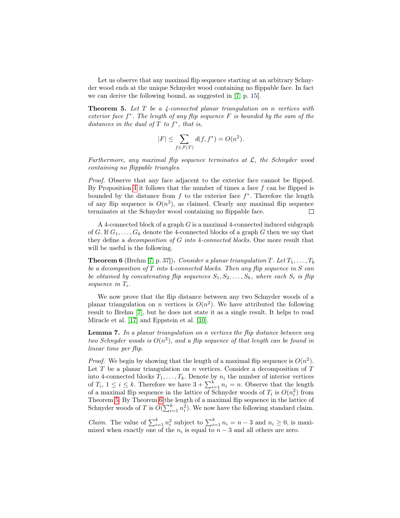Let us observe that any maximal flip sequence starting at an arbitrary Schnyder wood ends at the unique Schnyder wood containing no flippable face. In fact we can derive the following bound, as suggested in [\[7,](#page-21-5) p. 15].

<span id="page-7-0"></span>**Theorem 5.** Let  $T$  be a 4-connected planar triangulation on n vertices with exterior face  $f^*$ . The length of any flip sequence  $F$  is bounded by the sum of the distances in the dual of  $T$  to  $f^*$ , that is,

$$
|F| \le \sum_{f \in \mathcal{F}(T)} d(f, f^*) = O(n^2).
$$

Furthermore, any maximal flip sequence terminates at  $\mathcal{L}$ , the Schnyder wood containing no flippable triangles.

Proof. Observe that any face adjacent to the exterior face cannot be flipped. By Proposition [4](#page-6-0) it follows that the number of times a face  $f$  can be flipped is bounded by the distance from  $f$  to the exterior face  $f^*$ . Therefore the length of any flip sequence is  $O(n^2)$ , as claimed. Clearly any maximal flip sequence terminates at the Schnyder wood containing no flippable face.  $\Box$ 

A 4-connected block of a graph  $G$  is a maximal 4-connected induced subgraph of G. If  $G_1, \ldots, G_k$  denote the 4-connected blocks of a graph G then we say that they define a decomposition of G into 4-connected blocks. One more result that will be useful is the following.

<span id="page-7-1"></span>**Theorem 6** (Brehm [\[7,](#page-21-5) p. 37]). Consider a planar triangulation T. Let  $T_1, \ldots, T_k$ be a decomposition of  $T$  into 4-connected blocks. Then any flip sequence in  $S$  can be obtained by concatenating flip sequences  $S_1, S_2, \ldots, S_k$ , where each  $S_i$  is flip sequence in  $T_i$ .

We now prove that the flip distance between any two Schnyder woods of a planar triangulation on *n* vertices is  $O(n^2)$ . We have attributed the following result to Brehm [\[7\]](#page-21-5), but he does not state it as a single result. It helps to read Miracle et al. [\[17\]](#page-21-11) and Eppstein et al. [\[10\]](#page-21-12).

<span id="page-7-2"></span>Lemma 7. In a planar triangulation on n vertices the flip distance between any two Schnyder woods is  $O(n^2)$ , and a flip sequence of that length can be found in linear time per flip.

*Proof.* We begin by showing that the length of a maximal flip sequence is  $O(n^2)$ . Let T be a planar triangulation on n vertices. Consider a decomposition of  $T$ into 4-connected blocks  $T_1, \ldots, T_k$ . Denote by  $n_i$  the number of interior vertices of  $T_i$ ,  $1 \leq i \leq k$ . Therefore we have  $3 + \sum_{i=1}^{k} n_i = n$ . Observe that the length of a maximal flip sequence in the lattice of Schnyder woods of  $T_i$  is  $O(n_i^2)$  from Theorem [5.](#page-7-0) By Theorem [6](#page-7-1) the length of a maximal flip sequence in the lattice of Schnyder woods of T is  $O(\sum_{i=1}^k n_i^2)$ . We now have the following standard claim.

*Claim.* The value of  $\sum_{i=1}^{k} n_i^2$  subject to  $\sum_{i=1}^{k} n_i = n-3$  and  $n_i \ge 0$ , is maximized when exactly one of the  $n_i$  is equal to  $n-3$  and all others are zero.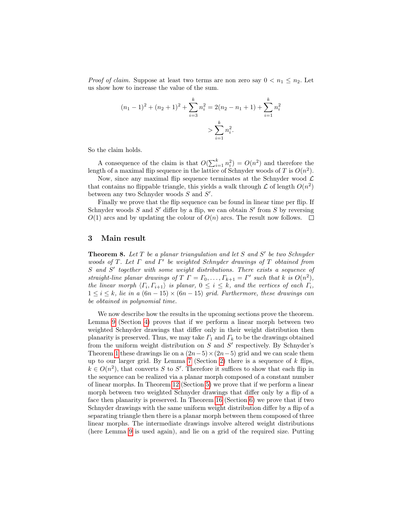*Proof of claim.* Suppose at least two terms are non zero say  $0 < n_1 \le n_2$ . Let us show how to increase the value of the sum.

$$
(n_1 - 1)^2 + (n_2 + 1)^2 + \sum_{i=3}^{k} n_i^2 = 2(n_2 - n_1 + 1) + \sum_{i=1}^{k} n_i^2
$$

$$
> \sum_{i=1}^{k} n_i^2.
$$

So the claim holds.

A consequence of the claim is that  $O(\sum_{i=1}^k n_i^2) = O(n^2)$  and therefore the length of a maximal flip sequence in the lattice of Schnyder woods of T is  $O(n^2)$ .

Now, since any maximal flip sequence terminates at the Schnyder wood  $\mathcal{L}$ that contains no flippable triangle, this yields a walk through  $\mathcal L$  of length  $O(n^2)$ between any two Schnyder woods  $S$  and  $S'$ .

Finally we prove that the flip sequence can be found in linear time per flip. If Schnyder woods  $S$  and  $S'$  differ by a flip, we can obtain  $S'$  from  $S$  by reversing  $O(1)$  arcs and by updating the colour of  $O(n)$  arcs. The result now follows.  $\Box$ 

#### <span id="page-8-0"></span>3 Main result

<span id="page-8-1"></span>**Theorem 8.** Let  $T$  be a planar triangulation and let  $S$  and  $S'$  be two Schnyder woods of T. Let  $\Gamma$  and  $\Gamma'$  be weighted Schnyder drawings of T obtained from S and S' together with some weight distributions. There exists a sequence of straight-line planar drawings of  $T \Gamma = \Gamma_0, \ldots, \Gamma_{k+1} = \Gamma'$  such that k is  $O(n^2)$ , the linear morph  $\langle \Gamma_i, \Gamma_{i+1} \rangle$  is planar,  $0 \leq i \leq k$ , and the vertices of each  $\Gamma_i$ ,  $1 \leq i \leq k$ , lie in a  $(6n-15) \times (6n-15)$  grid. Furthermore, these drawings can be obtained in polynomial time.

We now describe how the results in the upcoming sections prove the theorem. Lemma [9](#page-9-2) (Section [4\)](#page-9-0) proves that if we perform a linear morph between two weighted Schnyder drawings that differ only in their weight distribution then planarity is preserved. Thus, we may take  $\Gamma_1$  and  $\Gamma_k$  to be the drawings obtained from the uniform weight distribution on  $S$  and  $S'$  respectively. By Schnyder's Theorem [1](#page-4-1) these drawings lie on a  $(2n-5) \times (2n-5)$  grid and we can scale them up to our larger grid. By Lemma [7](#page-7-2) (Section [2\)](#page-2-0) there is a sequence of  $k$  flips,  $k \in O(n^2)$ , that converts S to S'. Therefore it suffices to show that each flip in the sequence can be realized via a planar morph composed of a constant number of linear morphs. In Theorem [12](#page-11-1) (Section [5\)](#page-9-1) we prove that if we perform a linear morph between two weighted Schnyder drawings that differ only by a flip of a face then planarity is preserved. In Theorem [16](#page-18-0) (Section [6\)](#page-12-0) we prove that if two Schnyder drawings with the same uniform weight distribution differ by a flip of a separating triangle then there is a planar morph between them composed of three linear morphs. The intermediate drawings involve altered weight distributions (here Lemma [9](#page-9-2) is used again), and lie on a grid of the required size. Putting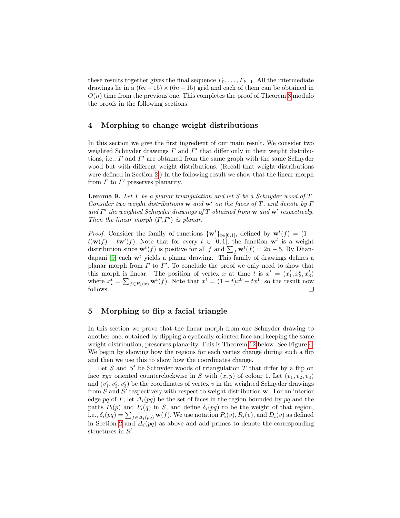these results together gives the final sequence  $\Gamma_0, \ldots, \Gamma_{k+1}$ . All the intermediate drawings lie in a  $(6n - 15) \times (6n - 15)$  grid and each of them can be obtained in  $O(n)$  time from the previous one. This completes the proof of Theorem [8](#page-8-1) modulo the proofs in the following sections.

#### <span id="page-9-0"></span>4 Morphing to change weight distributions

In this section we give the first ingredient of our main result. We consider two weighted Schnyder drawings  $\Gamma$  and  $\Gamma'$  that differ only in their weight distributions, i.e.,  $\Gamma$  and  $\Gamma'$  are obtained from the same graph with the same Schnyder wood but with different weight distributions. (Recall that weight distributions were defined in Section [2.](#page-2-0)) In the following result we show that the linear morph from  $\Gamma$  to  $\Gamma'$  preserves planarity.

<span id="page-9-2"></span>**Lemma 9.** Let  $T$  be a planar triangulation and let  $S$  be a Schnyder wood of  $T$ . Consider two weight distributions w and w' on the faces of T, and denote by  $\Gamma$ and  $\Gamma'$  the weighted Schnyder drawings of T obtained from  $w$  and  $w'$  respectively. Then the linear morph  $\langle \Gamma, \Gamma' \rangle$  is planar.

*Proof.* Consider the family of functions  $\{w^t\}_{t\in[0,1]}$ , defined by  $w^t(f) = (1$  $t\mathbf{w}(f) + t\mathbf{w}'(f)$ . Note that for every  $t \in [0,1]$ , the function  $\mathbf{w}^t$  is a weight distribution since  $\mathbf{w}^t(f)$  is positive for all f and  $\sum_f \mathbf{w}^t(f) = 2n - 5$ . By Dhan-dapani [\[9\]](#page-21-4) each  $\mathbf{w}^t$  yields a planar drawing. This family of drawings defines a planar morph from  $\Gamma$  to  $\Gamma'$ . To conclude the proof we only need to show that this morph is linear. The position of vertex x at time t is  $x^t = (x_1^t, x_2^t, x_3^t)$ where  $x_i^t = \sum_{f \in R_i(x)} \mathbf{w}^t(f)$ . Note that  $x^t = (1-t)x^0 + tx^1$ , so the result now follows.  $\Box$ 

## <span id="page-9-1"></span>5 Morphing to flip a facial triangle

In this section we prove that the linear morph from one Schnyder drawing to another one, obtained by flipping a cyclically oriented face and keeping the same weight distribution, preserves planarity. This is Theorem [12](#page-11-1) below. See Figure [4.](#page-10-0) We begin by showing how the regions for each vertex change during such a flip and then we use this to show how the coordinates change.

Let  $S$  and  $S'$  be Schnyder woods of triangulation  $T$  that differ by a flip on face xyz oriented counterclockwise in S with  $(x, y)$  of colour 1. Let  $(v_1, v_2, v_3)$ and  $(v'_1, v'_2, v'_3)$  be the coordinates of vertex v in the weighted Schnyder drawings from S and  $S'$  respectively with respect to weight distribution w. For an interior edge pq of T, let  $\Delta_i(pq)$  be the set of faces in the region bounded by pq and the paths  $P_i(p)$  and  $P_i(q)$  in S, and define  $\delta_i(pq)$  to be the weight of that region, i.e.,  $\delta_i(pq) = \sum_{f \in \Delta_i(pq)} \mathbf{w}(f)$ . We use notation  $P_i(v)$ ,  $R_i(v)$ , and  $D_i(v)$  as defined in Section [2](#page-2-0) and  $\Delta_i(pq)$  as above and add primes to denote the corresponding structures in  $S'$ .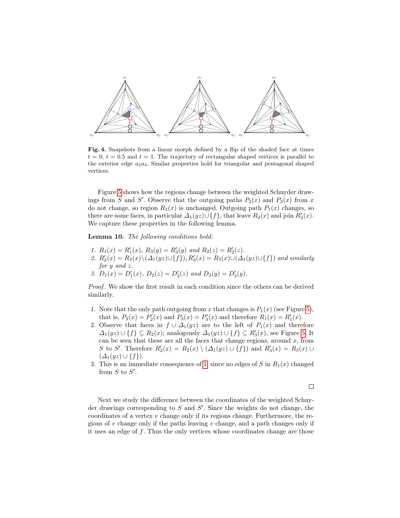

<span id="page-10-0"></span>Fig. 4. Snapshots from a linear morph defined by a flip of the shaded face at times  $t = 0, t = 0.5$  and  $t = 1$ . The trajectory of rectangular shaped vertices is parallel to the exterior edge  $a_2a_3$ . Similar properties hold for triangular and pentagonal shaped vertices.

Figure [5](#page-11-0) shows how the regions change between the weighted Schnyder drawings from S and S'. Observe that the outgoing paths  $P_2(x)$  and  $P_3(x)$  from x do not change, so region  $R_1(x)$  is unchanged. Outgoing path  $P_1(x)$  changes, so there are some faces, in particular  $\Delta_1(yz) \cup \{f\}$ , that leave  $R_2(x)$  and join  $R'_3(x)$ . We capture these properties in the following lemma.

<span id="page-10-2"></span>Lemma 10. The following conditions hold:

- 1.  $R_1(x) = R'_1(x)$ ,  $R_3(y) = R'_3(y)$  and  $R_2(z) = R'_2(z)$ .
- 2.  $R'_2(x) = R_2(x) \setminus (\Delta_1(yz) \cup \{f\}), R'_3(x) = R_3(x) \cup (\Delta_1(yz) \cup \{f\})$  and similarly for y and z.

3. 
$$
D_1(x) = D'_1(x), D_2(z) = D'_2(z)
$$
 and  $D_3(y) = D'_3(y)$ .

Proof. We show the first result in each condition since the others can be derived similarly.

- <span id="page-10-1"></span>1. Note that the only path outgoing from x that changes is  $P_1(x)$  (see Figure [5\)](#page-11-0), that is,  $P_2(x) = P'_2(x)$  and  $P_3(x) = P'_3(x)$  and therefore  $R_1(x) = R'_1(x)$ .
- 2. Observe that faces in  $f \cup \Delta_1(yz)$  are to the left of  $P_1(x)$  and therefore  $\Delta_1(yz) \cup \{f\} \subseteq R_2(x)$ ; analogously  $\Delta_1(yz) \cup \{f\} \subseteq R'_3(x)$ , see Figure [5.](#page-11-0) It can be seen that these are all the faces that change regions, around  $x$ , from S to S'. Therefore  $R'_2(x) = R_2(x) \setminus (\Delta_1(yz) \cup \{f\})$  and  $R'_3(x) = R_3(x) \cup$  $(\Delta_1(yz)\cup\{f\}).$
- 3. This is an immediate consequence of [1,](#page-10-1) since no edges of S in  $R_1(x)$  changed from  $S$  to  $S'$ .

 $\Box$ 

Next we study the difference between the coordinates of the weighted Schnyder drawings corresponding to  $S$  and  $S'$ . Since the weights do not change, the coordinates of a vertex  $v$  change only if its regions change. Furthermore, the regions of  $v$  change only if the paths leaving  $v$  change, and a path changes only if it uses an edge of  $f$ . Thus the only vertices whose coordinates change are those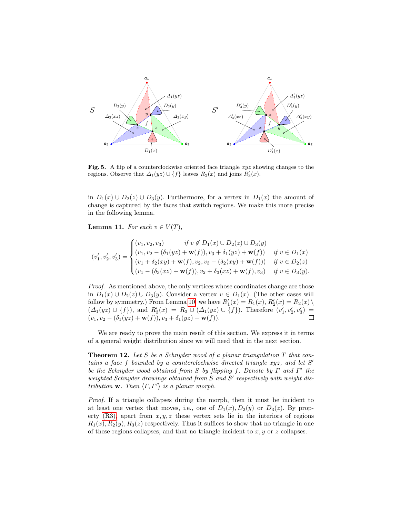

<span id="page-11-0"></span>**Fig. 5.** A flip of a counterclockwise oriented face triangle  $xyz$  showing changes to the regions. Observe that  $\Delta_1(yz) \cup \{f\}$  leaves  $R_2(x)$  and joins  $R'_3(x)$ .

in  $D_1(x) \cup D_2(z) \cup D_3(y)$ . Furthermore, for a vertex in  $D_1(x)$  the amount of change is captured by the faces that switch regions. We make this more precise in the following lemma.

<span id="page-11-2"></span>**Lemma 11.** For each  $v \in V(T)$ ,

$$
(v'_1, v'_2, v'_3) = \begin{cases} (v_1, v_2, v_3) & \text{if } v \notin D_1(x) \cup D_2(z) \cup D_3(y) \\ (v_1, v_2 - (\delta_1(yz) + \mathbf{w}(f)), v_3 + \delta_1(yz) + \mathbf{w}(f)) & \text{if } v \in D_1(x) \\ (v_1 + \delta_2(xy) + \mathbf{w}(f), v_2, v_3 - (\delta_2(xy) + \mathbf{w}(f))) & \text{if } v \in D_2(z) \\ (v_1 - (\delta_3(xz) + \mathbf{w}(f)), v_2 + \delta_3(xz) + \mathbf{w}(f), v_3) & \text{if } v \in D_3(y). \end{cases}
$$

Proof. As mentioned above, the only vertices whose coordinates change are those in  $D_1(x) \cup D_2(z) \cup D_3(y)$ . Consider a vertex  $v \in D_1(x)$ . (The other cases will follow by symmetry.) From Lemma [10,](#page-10-2) we have  $R'_1(x) = R_1(x), R'_2(x) = R_2(x)\setminus R'_1(x)$  $(\Delta_1(yz) \cup \{f\}),$  and  $R'_3(x) = R_3 \cup (\Delta_1(yz) \cup \{f\}).$  Therefore  $(v'_1, v'_2, v'_3)$  $\Box$  $(v_1, v_2 - (\delta_1(yz) + \mathbf{w}(f)), v_3 + \delta_1(yz) + \mathbf{w}(f)).$ 

We are ready to prove the main result of this section. We express it in terms of a general weight distribution since we will need that in the next section.

<span id="page-11-1"></span>**Theorem 12.** Let S be a Schnyder wood of a planar triangulation  $T$  that contains a face f bounded by a counterclockwise directed triangle  $xyz$ , and let  $S'$ be the Schnyder wood obtained from S by flipping f. Denote by  $\Gamma$  and  $\Gamma'$  the weighted Schnyder drawings obtained from  $S$  and  $S'$  respectively with weight distribution w. Then  $\langle \Gamma, \Gamma' \rangle$  is a planar morph.

Proof. If a triangle collapses during the morph, then it must be incident to at least one vertex that moves, i.e., one of  $D_1(x)$ ,  $D_2(y)$  or  $D_3(z)$ . By property  $(R3)$ , apart from  $x, y, z$  these vertex sets lie in the interiors of regions  $R_1(x), R_2(y), R_3(z)$  respectively. Thus it suffices to show that no triangle in one of these regions collapses, and that no triangle incident to  $x, y$  or z collapses.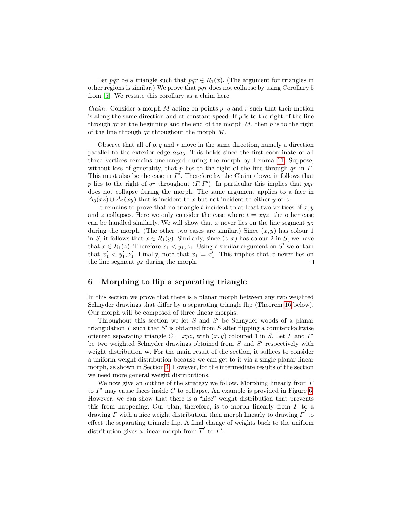Let pqr be a triangle such that  $pqr \in R_1(x)$ . (The argument for triangles in other regions is similar.) We prove that pqr does not collapse by using Corollary 5 from [\[5\]](#page-21-13). We restate this corollary as a claim here.

*Claim.* Consider a morph M acting on points p, q and r such that their motion is along the same direction and at constant speed. If  $p$  is to the right of the line through qr at the beginning and the end of the morph  $M$ , then p is to the right of the line through  $qr$  throughout the morph  $M$ .

Observe that all of  $p, q$  and  $r$  move in the same direction, namely a direction parallel to the exterior edge  $a_2a_3$ . This holds since the first coordinate of all three vertices remains unchanged during the morph by Lemma [11.](#page-11-2) Suppose, without loss of generality, that p lies to the right of the line through  $qr$  in  $\Gamma$ . This must also be the case in  $\Gamma'$ . Therefore by the Claim above, it follows that p lies to the right of qr throughout  $\langle \Gamma, \Gamma' \rangle$ . In particular this implies that pqr does not collapse during the morph. The same argument applies to a face in  $\Delta_3(xz) \cup \Delta_2(xy)$  that is incident to x but not incident to either y or z.

It remains to prove that no triangle t incident to at least two vertices of  $x, y$ and z collapses. Here we only consider the case where  $t = xyz$ , the other case can be handled similarly. We will show that  $x$  never lies on the line segment  $yz$ during the morph. (The other two cases are similar.) Since  $(x, y)$  has colour 1 in S, it follows that  $x \in R_1(y)$ . Similarly, since  $(z, x)$  has colour 2 in S, we have that  $x \in R_1(z)$ . Therefore  $x_1 < y_1, z_1$ . Using a similar argument on S' we obtain that  $x'_1 \, \langle y'_1, z'_1 \rangle$ . Finally, note that  $x_1 = x'_1$ . This implies that x never lies on the line segment yz during the morph.  $\Box$ 

#### <span id="page-12-0"></span>6 Morphing to flip a separating triangle

In this section we prove that there is a planar morph between any two weighted Schnyder drawings that differ by a separating triangle flip (Theorem [16](#page-18-0) below). Our morph will be composed of three linear morphs.

Throughout this section we let  $S$  and  $S'$  be Schnyder woods of a planar triangulation  $T$  such that  $S'$  is obtained from  $S$  after flipping a counterclockwise oriented separating triangle  $C = xyz$ , with  $(x, y)$  coloured 1 in S. Let  $\Gamma$  and  $\Gamma'$ be two weighted Schnyder drawings obtained from  $S$  and  $S'$  respectively with weight distribution w. For the main result of the section, it suffices to consider a uniform weight distribution because we can get to it via a single planar linear morph, as shown in Section [4.](#page-9-0) However, for the intermediate results of the section we need more general weight distributions.

We now give an outline of the strategy we follow. Morphing linearly from  $\Gamma$ to  $\Gamma'$  may cause faces inside C to collapse. An example is provided in Figure [6.](#page-13-0) However, we can show that there is a "nice" weight distribution that prevents this from happening. Our plan, therefore, is to morph linearly from  $\Gamma$  to a drawing  $\overline{\Gamma}$  with a nice weight distribution, then morph linearly to drawing  $\overline{\Gamma}'$  to effect the separating triangle flip. A final change of weights back to the uniform distribution gives a linear morph from  $\overline{\Gamma}'$  to  $\Gamma'$ .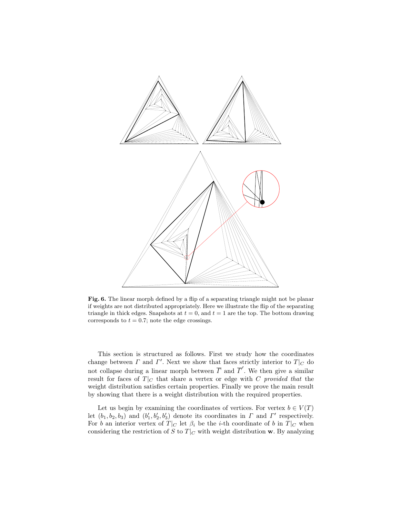

<span id="page-13-0"></span>Fig. 6. The linear morph defined by a flip of a separating triangle might not be planar if weights are not distributed appropriately. Here we illustrate the flip of the separating triangle in thick edges. Snapshots at  $t = 0$ , and  $t = 1$  are the top. The bottom drawing corresponds to  $t = 0.7$ ; note the edge crossings.

This section is structured as follows. First we study how the coordinates change between  $\Gamma$  and  $\Gamma'$ . Next we show that faces strictly interior to  $T|_{C}$  do not collapse during a linear morph between  $\overline{\Gamma}$  and  $\overline{\Gamma}'$ . We then give a similar result for faces of  $T|_C$  that share a vertex or edge with C provided that the weight distribution satisfies certain properties. Finally we prove the main result by showing that there is a weight distribution with the required properties.

Let us begin by examining the coordinates of vertices. For vertex  $b \in V(T)$ let  $(b_1, b_2, b_3)$  and  $(b'_1, b'_2, b'_3)$  denote its coordinates in  $\Gamma$  and  $\Gamma'$  respectively. For b an interior vertex of  $T|_C$  let  $\beta_i$  be the *i*-th coordinate of b in  $T|_C$  when considering the restriction of S to  $T|_C$  with weight distribution w. By analyzing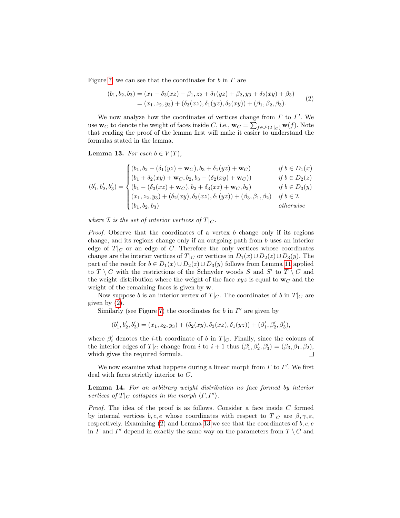<span id="page-14-0"></span>Figure [7,](#page-15-0) we can see that the coordinates for b in  $\Gamma$  are

$$
(b_1, b_2, b_3) = (x_1 + \delta_3(xz) + \beta_1, z_2 + \delta_1(yz) + \beta_2, y_3 + \delta_2(xy) + \beta_3)
$$
  
=  $(x_1, z_2, y_3) + (\delta_3(xz), \delta_1(yz), \delta_2(xy)) + (\beta_1, \beta_2, \beta_3).$  (2)

We now analyze how the coordinates of vertices change from  $\Gamma$  to  $\Gamma'$ . We use  $\mathbf{w}_C$  to denote the weight of faces inside  $C$ , i.e.,  $\mathbf{w}_C = \sum_{f \in \mathcal{F}(T|_C)} \mathbf{w}(f)$ . Note that reading the proof of the lemma first will make it easier to understand the formulas stated in the lemma.

<span id="page-14-1"></span>**Lemma 13.** For each  $b \in V(T)$ ,

$$
(b'_1, b'_2, b'_3) = \begin{cases} (b_1, b_2 - (\delta_1(yz) + \mathbf{w}_C), b_3 + \delta_1(yz) + \mathbf{w}_C) & \text{if } b \in D_1(x) \\ (b_1 + \delta_2(xy) + \mathbf{w}_C, b_2, b_3 - (\delta_2(xy) + \mathbf{w}_C)) & \text{if } b \in D_2(z) \\ (b_1 - (\delta_3(xz) + \mathbf{w}_C), b_2 + \delta_3(xz) + \mathbf{w}_C, b_3) & \text{if } b \in D_3(y) \\ (x_1, z_2, y_3) + (\delta_2(xy), \delta_3(xz), \delta_1(yz)) + (\beta_3, \beta_1, \beta_2) & \text{if } b \in \mathcal{I} \\ (b_1, b_2, b_3) & \text{otherwise} \end{cases}
$$

where  $\mathcal I$  is the set of interior vertices of  $T|_{C}$ .

*Proof.* Observe that the coordinates of a vertex b change only if its regions change, and its regions change only if an outgoing path from b uses an interior edge of  $T|_C$  or an edge of C. Therefore the only vertices whose coordinates change are the interior vertices of  $T|_C$  or vertices in  $D_1(x) \cup D_2(z) \cup D_3(y)$ . The part of the result for  $b \in D_1(x) \cup D_2(z) \cup D_3(y)$  follows from Lemma [11](#page-11-2) applied to  $T \setminus C$  with the restrictions of the Schnyder woods S and S' to  $T \setminus C$  and the weight distribution where the weight of the face  $xyz$  is equal to  $w<sub>C</sub>$  and the weight of the remaining faces is given by w.

Now suppose b is an interior vertex of  $T|_C$ . The coordinates of b in  $T|_C$  are given by [\(2\)](#page-14-0).

Similarly (see Figure [7\)](#page-15-0) the coordinates for  $b$  in  $\Gamma'$  are given by

$$
(b'_1, b'_2, b'_3) = (x_1, z_2, y_3) + (\delta_2(xy), \delta_3(xz), \delta_1(yz)) + (\beta'_1, \beta'_2, \beta'_3),
$$

where  $\beta_i'$  denotes the *i*-th coordinate of *b* in  $T|_C$ . Finally, since the colours of the interior edges of  $T|_C$  change from i to  $i + 1$  thus  $(\beta'_1, \beta'_2, \beta'_3) = (\beta_3, \beta_1, \beta_2),$ which gives the required formula.  $\Box$ 

We now examine what happens during a linear morph from  $\Gamma$  to  $\Gamma'$ . We first deal with faces strictly interior to C.

<span id="page-14-2"></span>Lemma 14. For an arbitrary weight distribution no face formed by interior vertices of  $T|_C$  collapses in the morph  $\langle \Gamma, \Gamma' \rangle$ .

Proof. The idea of the proof is as follows. Consider a face inside C formed by internal vertices b, c, e whose coordinates with respect to  $T|_C$  are  $\beta, \gamma, \varepsilon$ , respectively. Examining [\(2\)](#page-14-0) and Lemma [13](#page-14-1) we see that the coordinates of  $b, c, e$ in  $\Gamma$  and  $\Gamma'$  depend in exactly the same way on the parameters from  $T \setminus C$  and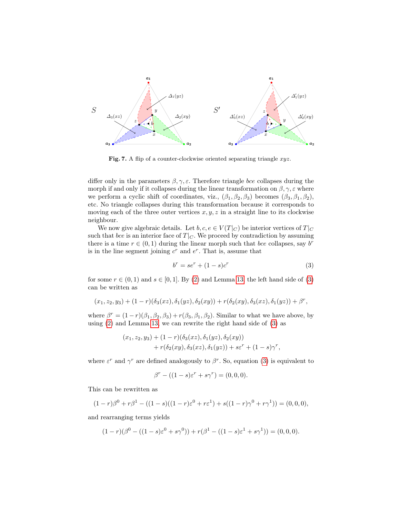

<span id="page-15-0"></span>Fig. 7. A flip of a counter-clockwise oriented separating triangle  $xyz$ .

differ only in the parameters  $\beta, \gamma, \varepsilon$ . Therefore triangle *bce* collapses during the morph if and only if it collapses during the linear transformation on  $\beta$ ,  $\gamma$ ,  $\varepsilon$  where we perform a cyclic shift of coordinates, viz.,  $(\beta_1, \beta_2, \beta_3)$  becomes  $(\beta_3, \beta_1, \beta_2)$ , etc. No triangle collapses during this transformation because it corresponds to moving each of the three outer vertices  $x, y, z$  in a straight line to its clockwise neighbour.

We now give algebraic details. Let  $b, c, e \in V(T|_C)$  be interior vertices of  $T|_C$ such that *bce* is an interior face of  $T|_C$ . We proceed by contradiction by assuming there is a time  $r \in (0, 1)$  during the linear morph such that *bce* collapses, say  $b^r$ is in the line segment joining  $c^r$  and  $e^r$ . That is, assume that

<span id="page-15-1"></span>
$$
b^r = se^r + (1 - s)c^r \tag{3}
$$

for some  $r \in (0, 1)$  and  $s \in [0, 1]$ . By [\(2\)](#page-14-0) and Lemma [13,](#page-14-1) the left hand side of [\(3\)](#page-15-1) can be written as

$$
(x_1, z_2, y_3) + (1 - r)(\delta_3(xz), \delta_1(yz), \delta_2(xy)) + r(\delta_2(xy), \delta_3(xz), \delta_1(yz)) + \beta^r,
$$

where  $\beta^r = (1 - r)(\beta_1, \beta_2, \beta_3) + r(\beta_3, \beta_1, \beta_2)$ . Similar to what we have above, by using [\(2\)](#page-14-0) and Lemma [13,](#page-14-1) we can rewrite the right hand side of [\(3\)](#page-15-1) as

$$
(x_1, z_2, y_3) + (1 - r)(\delta_3(xz), \delta_1(yz), \delta_2(xy))
$$
  
+ 
$$
r(\delta_2(xy), \delta_3(xz), \delta_1(yz)) + s\varepsilon^r + (1 - s)\gamma^r,
$$

where  $\varepsilon^r$  and  $\gamma^r$  are defined analogously to  $\beta^r$ . So, equation [\(3\)](#page-15-1) is equivalent to

$$
\beta^r - ((1 - s)\varepsilon^r + s\gamma^r) = (0, 0, 0).
$$

This can be rewritten as

$$
(1-r)\beta^{0} + r\beta^{1} - ((1-s)((1-r)\varepsilon^{0} + r\varepsilon^{1}) + s((1-r)\gamma^{0} + r\gamma^{1})) = (0,0,0),
$$

and rearranging terms yields

$$
(1-r)(\beta^0 - ((1-s)\varepsilon^0 + s\gamma^0)) + r(\beta^1 - ((1-s)\varepsilon^1 + s\gamma^1)) = (0,0,0).
$$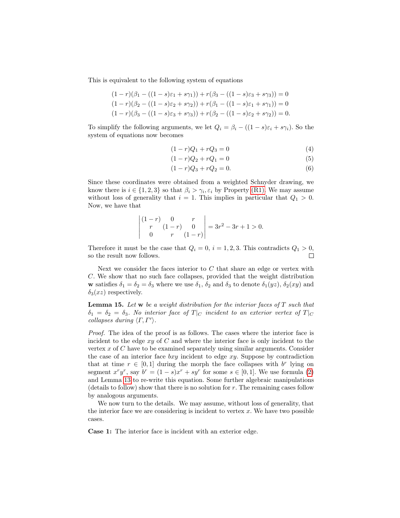This is equivalent to the following system of equations

$$
(1 - r)(\beta_1 - ((1 - s)\varepsilon_1 + s\gamma_1)) + r(\beta_3 - ((1 - s)\varepsilon_3 + s\gamma_3)) = 0
$$
  

$$
(1 - r)(\beta_2 - ((1 - s)\varepsilon_2 + s\gamma_2)) + r(\beta_1 - ((1 - s)\varepsilon_1 + s\gamma_1)) = 0
$$
  

$$
(1 - r)(\beta_3 - ((1 - s)\varepsilon_3 + s\gamma_3)) + r(\beta_2 - ((1 - s)\varepsilon_2 + s\gamma_2)) = 0.
$$

To simplify the following arguments, we let  $Q_i = \beta_i - ((1 - s)\varepsilon_i + s\gamma_i)$ . So the system of equations now becomes

$$
(1 - r)Q_1 + rQ_3 = 0 \tag{4}
$$

$$
(1 - r)Q_2 + rQ_1 = 0 \tag{5}
$$

$$
(1 - r)Q_3 + rQ_2 = 0.
$$
 (6)

Since these coordinates were obtained from a weighted Schnyder drawing, we know there is  $i \in \{1, 2, 3\}$  so that  $\beta_i > \gamma_i, \varepsilon_i$  by Property [\(R1\).](#page-5-3) We may assume without loss of generality that  $i = 1$ . This implies in particular that  $Q_1 > 0$ . Now, we have that

$$
\begin{vmatrix} (1-r) & 0 & r \\ r & (1-r) & 0 \\ 0 & r & (1-r) \end{vmatrix} = 3r^2 - 3r + 1 > 0.
$$

Therefore it must be the case that  $Q_i = 0$ ,  $i = 1, 2, 3$ . This contradicts  $Q_1 > 0$ , so the result now follows.

Next we consider the faces interior to  $C$  that share an edge or vertex with C. We show that no such face collapses, provided that the weight distribution w satisfies  $\delta_1 = \delta_2 = \delta_3$  where we use  $\delta_1$ ,  $\delta_2$  and  $\delta_3$  to denote  $\delta_1(yz)$ ,  $\delta_2(xy)$  and  $\delta_3(xz)$  respectively.

<span id="page-16-0"></span>**Lemma 15.** Let  $w$  be a weight distribution for the interior faces of  $T$  such that  $\delta_1 = \delta_2 = \delta_3$ . No interior face of  $T|_C$  incident to an exterior vertex of  $T|_C$ collapses during  $\langle \Gamma, \Gamma' \rangle$ .

Proof. The idea of the proof is as follows. The cases where the interior face is incident to the edge  $xy$  of  $C$  and where the interior face is only incident to the vertex  $x$  of  $C$  have to be examined separately using similar arguments. Consider the case of an interior face  $bxy$  incident to edge  $xy$ . Suppose by contradiction that at time  $r \in [0,1]$  during the morph the face collapses with  $b^r$  lying on segment  $x^r y^r$ , say  $b^r = (1-s)x^r + sy^r$  for some  $s \in [0,1]$ . We use formula [\(2\)](#page-14-0) and Lemma [13](#page-14-1) to re-write this equation. Some further algebraic manipulations  $(\text{details to follow})$  show that there is no solution for r. The remaining cases follow by analogous arguments.

We now turn to the details. We may assume, without loss of generality, that the interior face we are considering is incident to vertex  $x$ . We have two possible cases.

Case 1: The interior face is incident with an exterior edge.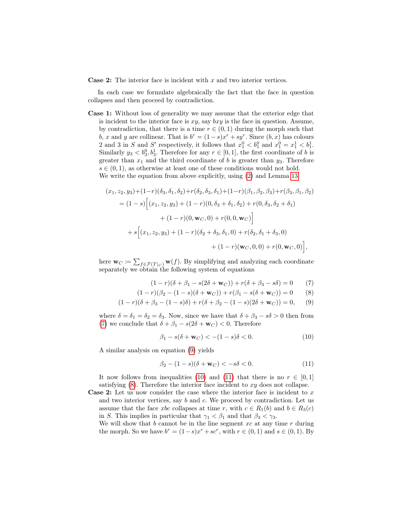**Case 2:** The interior face is incident with x and two interior vertices.

In each case we formulate algebraically the fact that the face in question collapses and then proceed by contradiction.

Case 1: Without loss of generality we may assume that the exterior edge that is incident to the interior face is  $xy$ , say  $bxy$  is the face in question. Assume, by contradiction, that there is a time  $r \in (0,1)$  during the morph such that b, x and y are collinear. That is  $b^r = (1-s)x^r + sy^r$ . Since  $(b, x)$  has colours 2 and 3 in S and S' respectively, it follows that  $x_1^0 < b_1^0$  and  $x_1^0 = x_1^1 < b_1^1$ . Similarly  $y_3 < b_3^0, b_3^1$ . Therefore for any  $r \in [0, 1]$ , the first coordinate of b is greater than  $x_1$  and the third coordinate of b is greater than  $y_3$ . Therefore  $s \in (0, 1)$ , as otherwise at least one of these conditions would not hold. We write the equation from above explicitly, using [\(2\)](#page-14-0) and Lemma [13:](#page-14-1)

$$
(x_1, z_2, y_3) + (1-r)(\delta_3, \delta_1, \delta_2) + r(\delta_2, \delta_3, \delta_1) + (1-r)(\beta_1, \beta_2, \beta_3) + r(\beta_3, \beta_1, \beta_2)
$$
  
=  $(1-s) \Big[ (x_1, z_2, y_3) + (1-r)(0, \delta_3 + \delta_1, \delta_2) + r(0, \delta_3, \delta_2 + \delta_1)$   
+  $(1-r)(0, \mathbf{w}_C, 0) + r(0, 0, \mathbf{w}_C) \Big]$   
+  $s \Big[ (x_1, z_2, y_3) + (1-r)(\delta_2 + \delta_3, \delta_1, 0) + r(\delta_2, \delta_1 + \delta_3, 0)$   
+  $(1-r)(\mathbf{w}_C, 0, 0) + r(0, \mathbf{w}_C, 0) \Big],$ 

here  $\mathbf{w}_C := \sum_{f \in \mathcal{F}(T|_C)} \mathbf{w}(f)$ . By simplifying and analyzing each coordinate separately we obtain the following system of equations

<span id="page-17-0"></span>
$$
(1 - r)(\delta + \beta_1 - s(2\delta + \mathbf{w}_C)) + r(\delta + \beta_3 - s\delta) = 0 \tag{7}
$$

$$
(1 - r)(\beta_2 - (1 - s)(\delta + \mathbf{w}_C)) + r(\beta_1 - s(\delta + \mathbf{w}_C)) = 0
$$
 (8)

$$
(1 - r)(\delta + \beta_3 - (1 - s)\delta) + r(\delta + \beta_2 - (1 - s)(2\delta + \mathbf{w}_C)) = 0, \qquad (9)
$$

where  $\delta = \delta_1 = \delta_2 = \delta_3$ . Now, since we have that  $\delta + \beta_3 - s\delta > 0$  then from [\(7\)](#page-17-0) we conclude that  $\delta + \beta_1 - s(2\delta + \mathbf{w}_C) < 0$ . Therefore

<span id="page-17-4"></span><span id="page-17-2"></span><span id="page-17-1"></span>
$$
\beta_1 - s(\delta + \mathbf{w}_C) < -(1 - s)\delta < 0. \tag{10}
$$

A similar analysis on equation [\(9\)](#page-17-1) yields

<span id="page-17-3"></span>
$$
\beta_2 - (1 - s)(\delta + \mathbf{w}_C) < -s\delta < 0. \tag{11}
$$

It now follows from inequalities [\(10\)](#page-17-2) and [\(11\)](#page-17-3) that there is no  $r \in [0,1]$ satisfying  $(8)$ . Therefore the interior face incident to  $xy$  does not collapse.

**Case 2:** Let us now consider the case where the interior face is incident to  $x$ and two interior vertices, say  $b$  and  $c$ . We proceed by contradiction. Let us assume that the face xbc collapses at time r, with  $c \in R_1(b)$  and  $b \in R_3(c)$ in S. This implies in particular that  $\gamma_1 < \beta_1$  and that  $\beta_3 < \gamma_3$ .

We will show that  $b$  cannot be in the line segment  $xc$  at any time  $r$  during the morph. So we have  $b^r = (1-s)x^r + sc^r$ , with  $r \in (0,1)$  and  $s \in (0,1)$ . By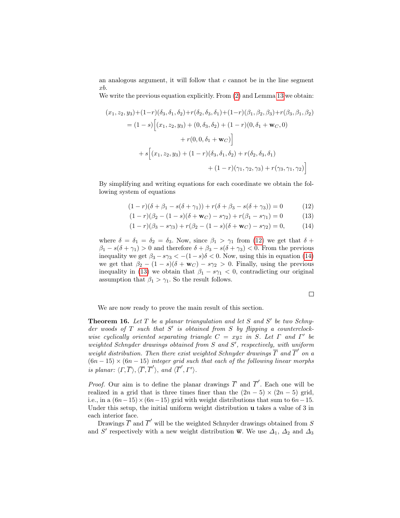an analogous argument, it will follow that  $c$  cannot be in the line segment xb.

We write the previous equation explicitly. From [\(2\)](#page-14-0) and Lemma [13](#page-14-1) we obtain:

$$
(x_1, z_2, y_3) + (1-r)(\delta_3, \delta_1, \delta_2) + r(\delta_2, \delta_3, \delta_1) + (1-r)(\beta_1, \beta_2, \beta_3) + r(\beta_3, \beta_1, \beta_2)
$$
  
=  $(1-s) [(x_1, z_2, y_3) + (0, \delta_3, \delta_2) + (1-r)(0, \delta_1 + \mathbf{w}_C, 0)$   
 $+ r(0, 0, \delta_1 + \mathbf{w}_C)]$   
+  $s [(x_1, z_2, y_3) + (1-r)(\delta_3, \delta_1, \delta_2) + r(\delta_2, \delta_3, \delta_1)$   
 $+ (1-r)(\gamma_1, \gamma_2, \gamma_3) + r(\gamma_3, \gamma_1, \gamma_2)]$ 

By simplifying and writing equations for each coordinate we obtain the following system of equations

$$
(1 - r)(\delta + \beta_1 - s(\delta + \gamma_1)) + r(\delta + \beta_3 - s(\delta + \gamma_3)) = 0 \tag{12}
$$

$$
(1 - r)(\beta_2 - (1 - s)(\delta + \mathbf{w}_C) - s\gamma_2) + r(\beta_1 - s\gamma_1) = 0 \tag{13}
$$

$$
(1 - r)(\beta_3 - s\gamma_3) + r(\beta_2 - (1 - s)(\delta + \mathbf{w}_C) - s\gamma_2) = 0, \quad (14)
$$

where  $\delta = \delta_1 = \delta_2 = \delta_3$ . Now, since  $\beta_1 > \gamma_1$  from [\(12\)](#page-18-1) we get that  $\delta$  +  $\beta_1 - s(\delta + \gamma_1) > 0$  and therefore  $\delta + \beta_3 - s(\delta + \gamma_3) < 0$ . From the previous inequality we get  $\beta_3 - s\gamma_3 < -(1-s)\delta < 0$ . Now, using this in equation [\(14\)](#page-18-2) we get that  $\beta_2 - (1 - s)(\delta + \mathbf{w}_C) - s\gamma_2 > 0$ . Finally, using the previous inequality in [\(13\)](#page-18-3) we obtain that  $\beta_1 - s\gamma_1 < 0$ , contradicting our original assumption that  $\beta_1 > \gamma_1$ . So the result follows.

<span id="page-18-3"></span><span id="page-18-2"></span><span id="page-18-1"></span> $\Box$ 

We are now ready to prove the main result of this section.

<span id="page-18-0"></span>**Theorem 16.** Let  $T$  be a planar triangulation and let  $S$  and  $S'$  be two Schnyder woods of  $T$  such that  $S'$  is obtained from  $S$  by flipping a counterclockwise cyclically oriented separating triangle  $C = xyz$  in S. Let  $\Gamma$  and  $\Gamma'$  be weighted Schnyder drawings obtained from  $S$  and  $S'$ , respectively, with uniform weight distribution. Then there exist weighted Schnyder drawings  $\overline{\Gamma}$  and  $\overline{\Gamma}'$  on a  $(6n-15) \times (6n-15)$  integer grid such that each of the following linear morphs is planar:  $\langle \Gamma, \overline{\Gamma} \rangle, \langle \overline{\Gamma}, \overline{\Gamma}' \rangle$ , and  $\langle \overline{\Gamma}', \Gamma' \rangle$ .

*Proof.* Our aim is to define the planar drawings  $\overline{\Gamma}$  and  $\overline{\Gamma}'$ . Each one will be realized in a grid that is three times finer than the  $(2n-5) \times (2n-5)$  grid, i.e., in a  $(6n-15)\times(6n-15)$  grid with weight distributions that sum to  $6n-15$ . Under this setup, the initial uniform weight distribution **u** takes a value of 3 in each interior face.

Drawings  $\overline{\Gamma}$  and  $\overline{\Gamma}'$  will be the weighted Schnyder drawings obtained from S and S' respectively with a new weight distribution  $\overline{\mathbf{w}}$ . We use  $\Delta_1$ ,  $\Delta_2$  and  $\Delta_3$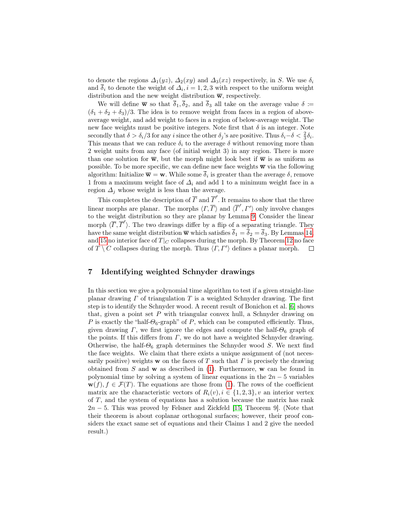to denote the regions  $\Delta_1(yz)$ ,  $\Delta_2(xy)$  and  $\Delta_3(xz)$  respectively, in S. We use  $\delta_i$ and  $\delta_i$  to denote the weight of  $\Delta_i$ ,  $i = 1, 2, 3$  with respect to the uniform weight distribution and the new weight distribution  $\overline{w}$ , respectively.

We will define  $\overline{\mathbf{w}}$  so that  $\overline{\delta}_1, \overline{\delta}_2$ , and  $\overline{\delta}_3$  all take on the average value  $\delta :=$  $(\delta_1 + \delta_2 + \delta_3)/3$ . The idea is to remove weight from faces in a region of aboveaverage weight, and add weight to faces in a region of below-average weight. The new face weights must be positive integers. Note first that  $\delta$  is an integer. Note secondly that  $\delta > \delta_i/3$  for any i since the other  $\delta_j$ 's are positive. Thus  $\delta_i - \delta < \frac{2}{3}\delta_i$ . This means that we can reduce  $\delta_i$  to the average  $\delta$  without removing more than 2 weight units from any face (of initial weight 3) in any region. There is more than one solution for  $\overline{\mathbf{w}}$ , but the morph might look best if  $\overline{\mathbf{w}}$  is as uniform as possible. To be more specific, we can define new face weights  $\overline{\mathbf{w}}$  via the following algorithm: Initialize  $\overline{\mathbf{w}} = \mathbf{w}$ . While some  $\delta_i$  is greater than the average  $\delta$ , remove 1 from a maximum weight face of  $\Delta_i$  and add 1 to a minimum weight face in a region  $\Delta_j$  whose weight is less than the average.

This completes the description of  $\overline{\Gamma}$  and  $\overline{\Gamma}'$ . It remains to show that the three linear morphs are planar. The morphs  $\langle \Gamma, \overline{\Gamma} \rangle$  and  $\langle \overline{\Gamma}', \Gamma' \rangle$  only involve changes to the weight distribution so they are planar by Lemma [9.](#page-9-2) Consider the linear morph  $\langle \overline{T}, \overline{T}' \rangle$ . The two drawings differ by a flip of a separating triangle. They have the same weight distribution  $\overline{\mathbf{w}}$  which satisfies  $\overline{\delta}_1 = \overline{\delta}_2 = \overline{\delta}_3$ . By Lemmas [14,](#page-14-2) and [15](#page-16-0) no interior face of  $T|_C$  collapses during the morph. By Theorem [12](#page-11-1) no face of  $T \setminus C$  collapses during the morph. Thus  $\langle \Gamma, \Gamma' \rangle$  defines a planar morph.  $\Box$ 

#### <span id="page-19-0"></span>7 Identifying weighted Schnyder drawings

In this section we give a polynomial time algorithm to test if a given straight-line planar drawing  $\Gamma$  of triangulation  $\Gamma$  is a weighted Schnyder drawing. The first step is to identify the Schnyder wood. A recent result of Bonichon et al. [\[6\]](#page-21-14) shows that, given a point set  $P$  with triangular convex hull, a Schnyder drawing on P is exactly the "half- $\Theta_6$ -graph" of P, which can be computed efficiently. Thus, given drawing Γ, we first ignore the edges and compute the half- $\Theta_6$  graph of the points. If this differs from  $\Gamma$ , we do not have a weighted Schnyder drawing. Otherwise, the half- $\Theta_6$  graph determines the Schnyder wood S. We next find the face weights. We claim that there exists a unique assignment of (not necessarily positive) weights w on the faces of T such that  $\Gamma$  is precisely the drawing obtained from S and w as described in [\(1\)](#page-4-2). Furthermore, w can be found in polynomial time by solving a system of linear equations in the  $2n-5$  variables  $\mathbf{w}(f), f \in \mathcal{F}(T)$ . The equations are those from [\(1\)](#page-4-2). The rows of the coefficient matrix are the characteristic vectors of  $R_i(v), i \in \{1, 2, 3\}, v$  an interior vertex of T, and the system of equations has a solution because the matrix has rank  $2n-5$ . This was proved by Felsner and Zickfeld [\[15,](#page-21-15) Theorem 9]. (Note that their theorem is about coplanar orthogonal surfaces; however, their proof considers the exact same set of equations and their Claims 1 and 2 give the needed result.)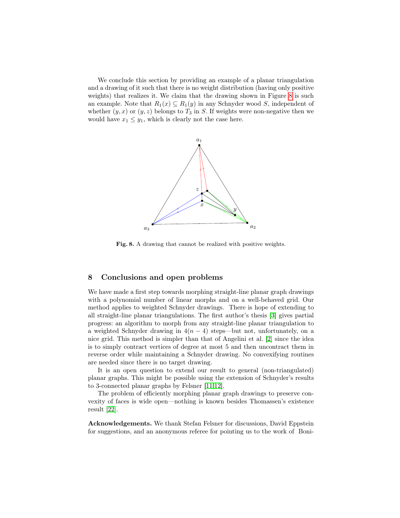We conclude this section by providing an example of a planar triangulation and a drawing of it such that there is no weight distribution (having only positive weights) that realizes it. We claim that the drawing shown in Figure [8](#page-20-1) is such an example. Note that  $R_1(x) \subseteq R_1(y)$  in any Schnyder wood S, independent of whether  $(y, x)$  or  $(y, z)$  belongs to  $T_3$  in S. If weights were non-negative then we would have  $x_1 \leq y_1$ , which is clearly not the case here.



<span id="page-20-1"></span>Fig. 8. A drawing that cannot be realized with positive weights.

## <span id="page-20-0"></span>8 Conclusions and open problems

We have made a first step towards morphing straight-line planar graph drawings with a polynomial number of linear morphs and on a well-behaved grid. Our method applies to weighted Schnyder drawings. There is hope of extending to all straight-line planar triangulations. The first author's thesis [\[3\]](#page-21-10) gives partial progress: an algorithm to morph from any straight-line planar triangulation to a weighted Schnyder drawing in  $4(n-4)$  steps—but not, unfortunately, on a nice grid. This method is simpler than that of Angelini et al. [\[2\]](#page-21-3) since the idea is to simply contract vertices of degree at most 5 and then uncontract them in reverse order while maintaining a Schnyder drawing. No convexifying routines are needed since there is no target drawing.

It is an open question to extend our result to general (non-triangulated) planar graphs. This might be possible using the extension of Schnyder's results to 3-connected planar graphs by Felsner [\[11](#page-21-16)[,12\]](#page-21-17).

The problem of efficiently morphing planar graph drawings to preserve convexity of faces is wide open—nothing is known besides Thomassen's existence result [\[22\]](#page-22-4).

Acknowledgements. We thank Stefan Felsner for discussions, David Eppstein for suggestions, and an anonymous referee for pointing us to the work of Boni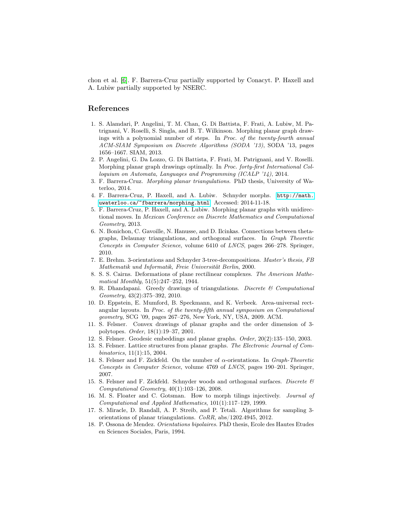chon et al. [\[6\]](#page-21-14). F. Barrera-Cruz partially supported by Conacyt. P. Haxell and A. Lubiw partially supported by NSERC.

#### References

- <span id="page-21-0"></span>1. S. Alamdari, P. Angelini, T. M. Chan, G. Di Battista, F. Frati, A. Lubiw, M. Patrignani, V. Roselli, S. Singla, and B. T. Wilkinson. Morphing planar graph drawings with a polynomial number of steps. In Proc. of the twenty-fourth annual ACM-SIAM Symposium on Discrete Algorithms (SODA '13), SODA '13, pages 1656–1667. SIAM, 2013.
- <span id="page-21-3"></span>2. P. Angelini, G. Da Lozzo, G. Di Battista, F. Frati, M. Patrignani, and V. Roselli. Morphing planar graph drawings optimally. In Proc. forty-first International Colloquium on Automata, Languages and Programming (ICALP '14), 2014.
- <span id="page-21-10"></span>3. F. Barrera-Cruz. Morphing planar triangulations. PhD thesis, University of Waterloo, 2014.
- <span id="page-21-9"></span>4. F. Barrera-Cruz, P. Haxell, and A. Lubiw. Schnyder morphs. [http://math.](http://math.uwaterloo.ca/~fbarrera/morphing.html) [uwaterloo.ca/~fbarrera/morphing.html](http://math.uwaterloo.ca/~fbarrera/morphing.html). Accessed: 2014-11-18.
- <span id="page-21-13"></span>5. F. Barrera-Cruz, P. Haxell, and A. Lubiw. Morphing planar graphs with unidirectional moves. In Mexican Conference on Discrete Mathematics and Computational Geometry, 2013.
- <span id="page-21-14"></span>6. N. Bonichon, C. Gavoille, N. Hanusse, and D. Ilcinkas. Connections between thetagraphs, Delaunay triangulations, and orthogonal surfaces. In Graph Theoretic Concepts in Computer Science, volume 6410 of LNCS, pages 266–278. Springer, 2010.
- <span id="page-21-5"></span>7. E. Brehm. 3-orientations and Schnyder 3-tree-decompositions. Master's thesis, FB Mathematik und Informatik, Freie Universität Berlin, 2000.
- <span id="page-21-1"></span>8. S. S. Cairns. Deformations of plane rectilinear complexes. The American Mathematical Monthly, 51(5):247–252, 1944.
- <span id="page-21-4"></span>9. R. Dhandapani. Greedy drawings of triangulations. Discrete  $\mathcal B$  Computational Geometry, 43(2):375–392, 2010.
- <span id="page-21-12"></span>10. D. Eppstein, E. Mumford, B. Speckmann, and K. Verbeek. Area-universal rectangular layouts. In Proc. of the twenty-fifth annual symposium on Computational geometry, SCG '09, pages 267–276, New York, NY, USA, 2009. ACM.
- <span id="page-21-16"></span>11. S. Felsner. Convex drawings of planar graphs and the order dimension of 3 polytopes. Order, 18(1):19–37, 2001.
- <span id="page-21-17"></span>12. S. Felsner. Geodesic embeddings and planar graphs. Order, 20(2):135–150, 2003.
- <span id="page-21-6"></span>13. S. Felsner. Lattice structures from planar graphs. The Electronic Journal of Combinatorics, 11(1):15, 2004.
- <span id="page-21-8"></span>14. S. Felsner and F. Zickfeld. On the number of α-orientations. In Graph-Theoretic Concepts in Computer Science, volume 4769 of LNCS, pages 190–201. Springer, 2007.
- <span id="page-21-15"></span>15. S. Felsner and F. Zickfeld. Schnyder woods and orthogonal surfaces. Discrete & Computational Geometry, 40(1):103–126, 2008.
- <span id="page-21-2"></span>16. M. S. Floater and C. Gotsman. How to morph tilings injectively. Journal of Computational and Applied Mathematics, 101(1):117–129, 1999.
- <span id="page-21-11"></span>17. S. Miracle, D. Randall, A. P. Streib, and P. Tetali. Algorithms for sampling 3 orientations of planar triangulations. CoRR, abs/1202.4945, 2012.
- <span id="page-21-7"></span>18. P. Ossona de Mendez. Orientations bipolaires. PhD thesis, Ecole des Hautes Etudes en Sciences Sociales, Paris, 1994.